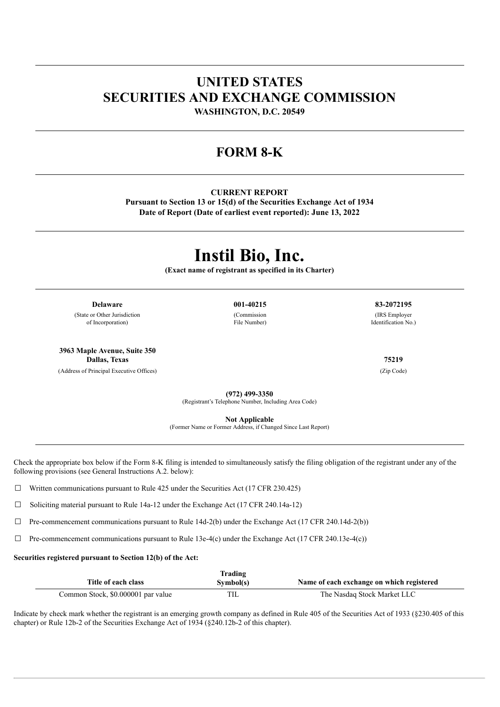# **UNITED STATES SECURITIES AND EXCHANGE COMMISSION**

**WASHINGTON, D.C. 20549**

## **FORM 8-K**

#### **CURRENT REPORT**

**Pursuant to Section 13 or 15(d) of the Securities Exchange Act of 1934 Date of Report (Date of earliest event reported): June 13, 2022**

# **Instil Bio, Inc.**

**(Exact name of registrant as specified in its Charter)**

**Delaware 001-40215 83-2072195**

(State or Other Jurisdiction of Incorporation)

**3963 Maple Avenue, Suite 350 Dallas, Texas 75219**

(Address of Principal Executive Offices) (Zip Code)

(Commission

File Number)

(IRS Employer Identification No.)

**(972) 499-3350**

(Registrant's Telephone Number, Including Area Code)

**Not Applicable**

(Former Name or Former Address, if Changed Since Last Report)

Check the appropriate box below if the Form 8-K filing is intended to simultaneously satisfy the filing obligation of the registrant under any of the following provisions (see General Instructions A.2. below):

 $\Box$  Written communications pursuant to Rule 425 under the Securities Act (17 CFR 230.425)

☐ Soliciting material pursuant to Rule 14a-12 under the Exchange Act (17 CFR 240.14a-12)

 $\Box$  Pre-commencement communications pursuant to Rule 14d-2(b) under the Exchange Act (17 CFR 240.14d-2(b))

 $\Box$  Pre-commencement communications pursuant to Rule 13e-4(c) under the Exchange Act (17 CFR 240.13e-4(c))

#### **Securities registered pursuant to Section 12(b) of the Act:**

| Title of each class                | Trading<br>Symbol(s) | Name of each exchange on which registered |
|------------------------------------|----------------------|-------------------------------------------|
| Common Stock, \$0.000001 par value | TIL                  | The Nasdag Stock Market LLC               |

Indicate by check mark whether the registrant is an emerging growth company as defined in Rule 405 of the Securities Act of 1933 (§230.405 of this chapter) or Rule 12b-2 of the Securities Exchange Act of 1934 (§240.12b-2 of this chapter).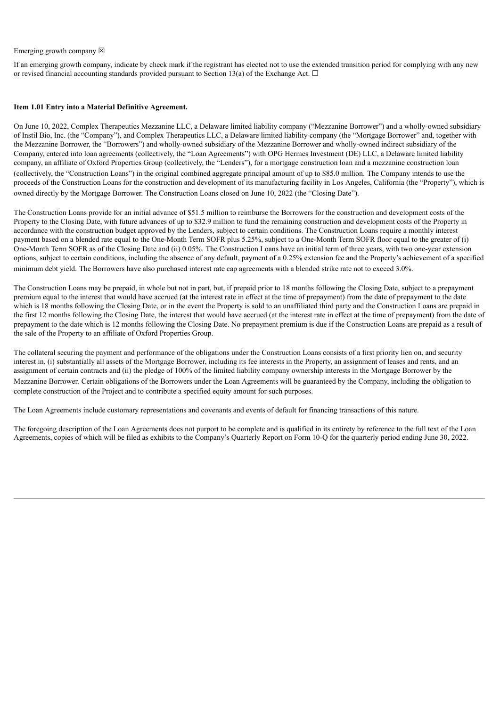#### Emerging growth company  $\boxtimes$

If an emerging growth company, indicate by check mark if the registrant has elected not to use the extended transition period for complying with any new or revised financial accounting standards provided pursuant to Section 13(a) of the Exchange Act.  $\Box$ 

#### **Item 1.01 Entry into a Material Definitive Agreement.**

On June 10, 2022, Complex Therapeutics Mezzanine LLC, a Delaware limited liability company ("Mezzanine Borrower") and a wholly-owned subsidiary of Instil Bio, Inc. (the "Company"), and Complex Therapeutics LLC, a Delaware limited liability company (the "Mortgage Borrower" and, together with the Mezzanine Borrower, the "Borrowers") and wholly-owned subsidiary of the Mezzanine Borrower and wholly-owned indirect subsidiary of the Company, entered into loan agreements (collectively, the "Loan Agreements") with OPG Hermes Investment (DE) LLC, a Delaware limited liability company, an affiliate of Oxford Properties Group (collectively, the "Lenders"), for a mortgage construction loan and a mezzanine construction loan (collectively, the "Construction Loans") in the original combined aggregate principal amount of up to \$85.0 million. The Company intends to use the proceeds of the Construction Loans for the construction and development of its manufacturing facility in Los Angeles, California (the "Property"), which is owned directly by the Mortgage Borrower. The Construction Loans closed on June 10, 2022 (the "Closing Date").

The Construction Loans provide for an initial advance of \$51.5 million to reimburse the Borrowers for the construction and development costs of the Property to the Closing Date, with future advances of up to \$32.9 million to fund the remaining construction and development costs of the Property in accordance with the construction budget approved by the Lenders, subject to certain conditions. The Construction Loans require a monthly interest payment based on a blended rate equal to the One-Month Term SOFR plus 5.25%, subject to a One-Month Term SOFR floor equal to the greater of (i) One-Month Term SOFR as of the Closing Date and (ii) 0.05%. The Construction Loans have an initial term of three years, with two one-year extension options, subject to certain conditions, including the absence of any default, payment of a 0.25% extension fee and the Property's achievement of a specified minimum debt yield. The Borrowers have also purchased interest rate cap agreements with a blended strike rate not to exceed 3.0%.

The Construction Loans may be prepaid, in whole but not in part, but, if prepaid prior to 18 months following the Closing Date, subject to a prepayment premium equal to the interest that would have accrued (at the interest rate in effect at the time of prepayment) from the date of prepayment to the date which is 18 months following the Closing Date, or in the event the Property is sold to an unaffiliated third party and the Construction Loans are prepaid in the first 12 months following the Closing Date, the interest that would have accrued (at the interest rate in effect at the time of prepayment) from the date of prepayment to the date which is 12 months following the Closing Date. No prepayment premium is due if the Construction Loans are prepaid as a result of the sale of the Property to an affiliate of Oxford Properties Group.

The collateral securing the payment and performance of the obligations under the Construction Loans consists of a first priority lien on, and security interest in, (i) substantially all assets of the Mortgage Borrower, including its fee interests in the Property, an assignment of leases and rents, and an assignment of certain contracts and (ii) the pledge of 100% of the limited liability company ownership interests in the Mortgage Borrower by the Mezzanine Borrower. Certain obligations of the Borrowers under the Loan Agreements will be guaranteed by the Company, including the obligation to complete construction of the Project and to contribute a specified equity amount for such purposes.

The Loan Agreements include customary representations and covenants and events of default for financing transactions of this nature.

The foregoing description of the Loan Agreements does not purport to be complete and is qualified in its entirety by reference to the full text of the Loan Agreements, copies of which will be filed as exhibits to the Company's Quarterly Report on Form 10-Q for the quarterly period ending June 30, 2022.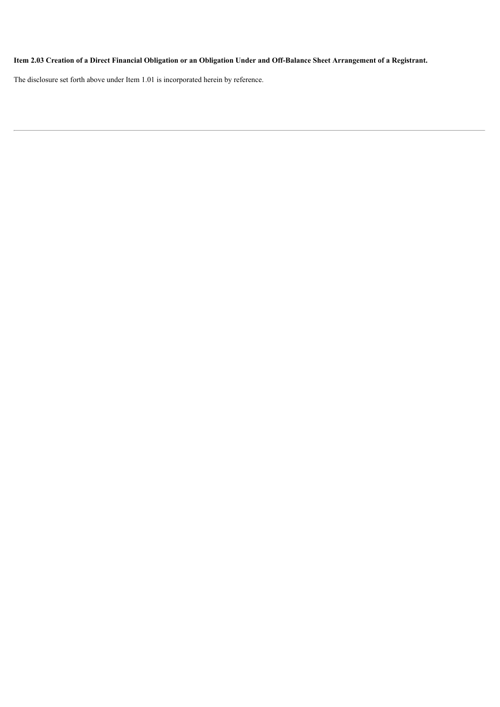## Item 2.03 Creation of a Direct Financial Obligation or an Obligation Under and Off-Balance Sheet Arrangement of a Registrant.

The disclosure set forth above under Item 1.01 is incorporated herein by reference.